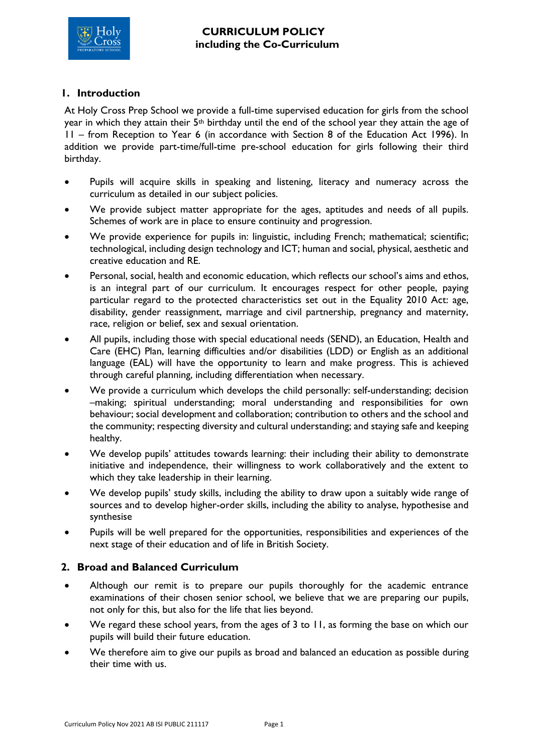

## **1. Introduction**

At Holy Cross Prep School we provide a full-time supervised education for girls from the school year in which they attain their 5th birthday until the end of the school year they attain the age of 11 – from Reception to Year 6 (in accordance with Section 8 of the Education Act 1996). In addition we provide part-time/full-time pre-school education for girls following their third birthday.

- Pupils will acquire skills in speaking and listening, literacy and numeracy across the curriculum as detailed in our subject policies.
- We provide subject matter appropriate for the ages, aptitudes and needs of all pupils. Schemes of work are in place to ensure continuity and progression.
- We provide experience for pupils in: linguistic, including French; mathematical; scientific; technological, including design technology and ICT; human and social, physical, aesthetic and creative education and RE.
- Personal, social, health and economic education, which reflects our school's aims and ethos, is an integral part of our curriculum. It encourages respect for other people, paying particular regard to the protected characteristics set out in the Equality 2010 Act: age, disability, gender reassignment, marriage and civil partnership, pregnancy and maternity, race, religion or belief, sex and sexual orientation.
- All pupils, including those with special educational needs (SEND), an Education, Health and Care (EHC) Plan, learning difficulties and/or disabilities (LDD) or English as an additional language (EAL) will have the opportunity to learn and make progress. This is achieved through careful planning, including differentiation when necessary.
- We provide a curriculum which develops the child personally: self-understanding; decision –making; spiritual understanding; moral understanding and responsibilities for own behaviour; social development and collaboration; contribution to others and the school and the community; respecting diversity and cultural understanding; and staying safe and keeping healthy.
- We develop pupils' attitudes towards learning: their including their ability to demonstrate initiative and independence, their willingness to work collaboratively and the extent to which they take leadership in their learning.
- We develop pupils' study skills, including the ability to draw upon a suitably wide range of sources and to develop higher-order skills, including the ability to analyse, hypothesise and synthesise
- Pupils will be well prepared for the opportunities, responsibilities and experiences of the next stage of their education and of life in British Society.

## **2. Broad and Balanced Curriculum**

- Although our remit is to prepare our pupils thoroughly for the academic entrance examinations of their chosen senior school, we believe that we are preparing our pupils, not only for this, but also for the life that lies beyond.
- We regard these school years, from the ages of 3 to 11, as forming the base on which our pupils will build their future education.
- We therefore aim to give our pupils as broad and balanced an education as possible during their time with us.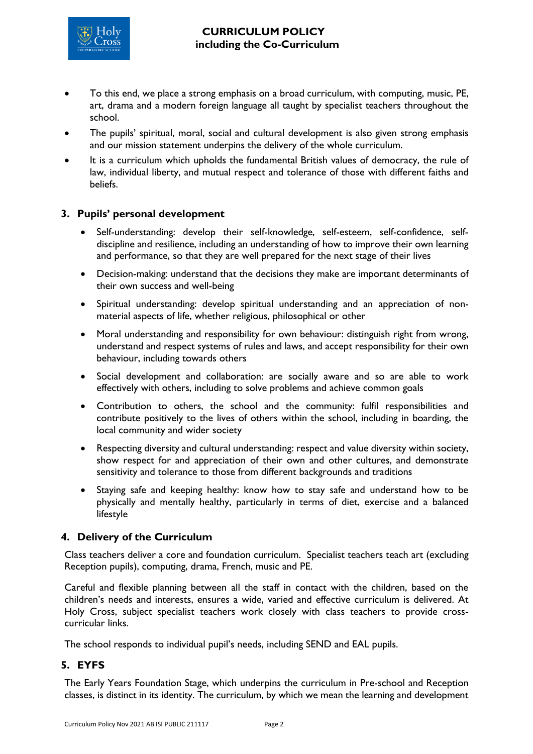

- To this end, we place a strong emphasis on a broad curriculum, with computing, music, PE, art, drama and a modern foreign language all taught by specialist teachers throughout the school.
- The pupils' spiritual, moral, social and cultural development is also given strong emphasis and our mission statement underpins the delivery of the whole curriculum.
- It is a curriculum which upholds the fundamental British values of democracy, the rule of law, individual liberty, and mutual respect and tolerance of those with different faiths and beliefs.

### **3. Pupils' personal development**

- Self-understanding: develop their self-knowledge, self-esteem, self-confidence, selfdiscipline and resilience, including an understanding of how to improve their own learning and performance, so that they are well prepared for the next stage of their lives
- Decision-making: understand that the decisions they make are important determinants of their own success and well-being
- Spiritual understanding: develop spiritual understanding and an appreciation of nonmaterial aspects of life, whether religious, philosophical or other
- Moral understanding and responsibility for own behaviour: distinguish right from wrong, understand and respect systems of rules and laws, and accept responsibility for their own behaviour, including towards others
- Social development and collaboration: are socially aware and so are able to work effectively with others, including to solve problems and achieve common goals
- Contribution to others, the school and the community: fulfil responsibilities and contribute positively to the lives of others within the school, including in boarding, the local community and wider society
- Respecting diversity and cultural understanding: respect and value diversity within society, show respect for and appreciation of their own and other cultures, and demonstrate sensitivity and tolerance to those from different backgrounds and traditions
- Staying safe and keeping healthy: know how to stay safe and understand how to be physically and mentally healthy, particularly in terms of diet, exercise and a balanced lifestyle

#### **4. Delivery of the Curriculum**

Class teachers deliver a core and foundation curriculum. Specialist teachers teach art (excluding Reception pupils), computing, drama, French, music and PE.

Careful and flexible planning between all the staff in contact with the children, based on the children's needs and interests, ensures a wide, varied and effective curriculum is delivered. At Holy Cross, subject specialist teachers work closely with class teachers to provide crosscurricular links.

The school responds to individual pupil's needs, including SEND and EAL pupils.

#### **5. EYFS**

The Early Years Foundation Stage, which underpins the curriculum in Pre-school and Reception classes, is distinct in its identity. The curriculum, by which we mean the learning and development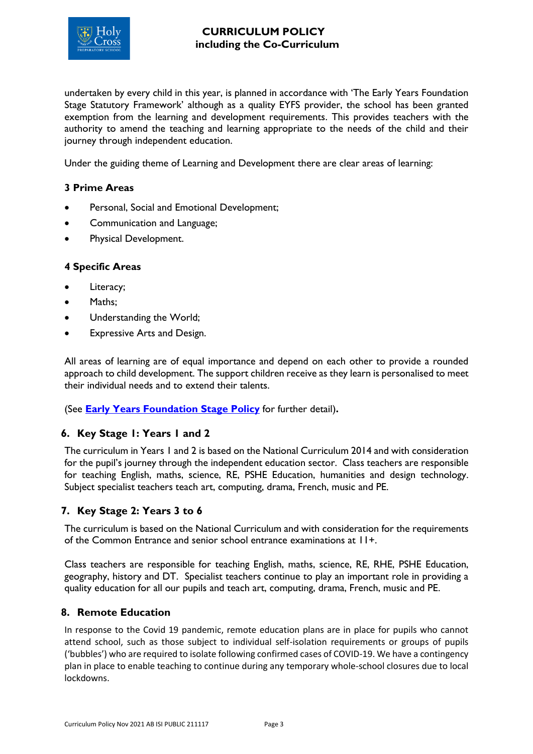

undertaken by every child in this year, is planned in accordance with 'The Early Years Foundation Stage Statutory Framework' although as a quality EYFS provider, the school has been granted exemption from the learning and development requirements. This provides teachers with the authority to amend the teaching and learning appropriate to the needs of the child and their journey through independent education.

Under the guiding theme of Learning and Development there are clear areas of learning:

#### **3 Prime Areas**

- Personal, Social and Emotional Development;
- Communication and Language;
- Physical Development.

### **4 Specific Areas**

- Literacy;
- Maths:
- Understanding the World;
- Expressive Arts and Design.

All areas of learning are of equal importance and depend on each other to provide a rounded approach to child development. The support children receive as they learn is personalised to meet their individual needs and to extend their talents.

(See **[Early Years Foundation Stage Policy](file://///HCNET.AD/HCP/Share_Policies/EYFS%20Policy.pdf)** for further detail)**.**

#### **6. Key Stage 1: Years 1 and 2**

The curriculum in Years 1 and 2 is based on the National Curriculum 2014 and with consideration for the pupil's journey through the independent education sector. Class teachers are responsible for teaching English, maths, science, RE, PSHE Education, humanities and design technology. Subject specialist teachers teach art, computing, drama, French, music and PE.

#### **7. Key Stage 2: Years 3 to 6**

The curriculum is based on the National Curriculum and with consideration for the requirements of the Common Entrance and senior school entrance examinations at 11+.

Class teachers are responsible for teaching English, maths, science, RE, RHE, PSHE Education, geography, history and DT. Specialist teachers continue to play an important role in providing a quality education for all our pupils and teach art, computing, drama, French, music and PE.

#### **8. Remote Education**

In response to the Covid 19 pandemic, remote education plans are in place for pupils who cannot attend school, such as those subject to individual self-isolation requirements or groups of pupils ('bubbles') who are required to isolate following confirmed cases of COVID-19. We have a contingency plan in place to enable teaching to continue during any temporary whole-school closures due to local lockdowns.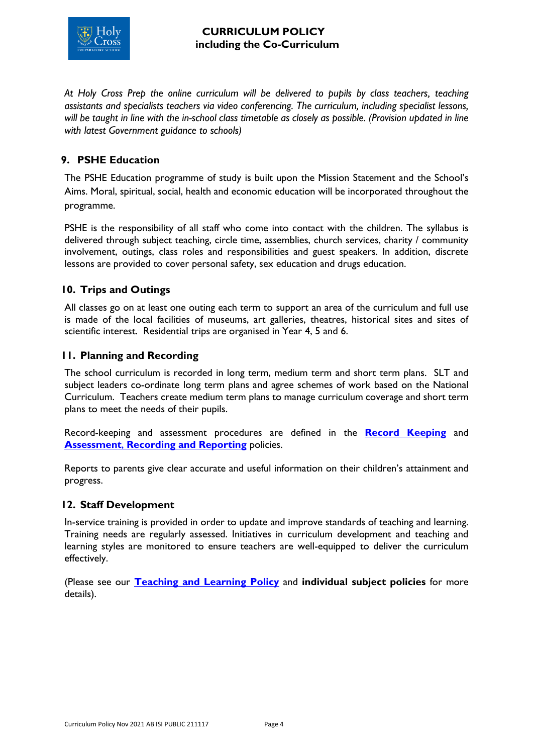

*At Holy Cross Prep the online curriculum will be delivered to pupils by class teachers, teaching assistants and specialists teachers via video conferencing. The curriculum, including specialist lessons, will be taught in line with the in-school class timetable as closely as possible. (Provision updated in line with latest Government guidance to schools)* 

# **9. PSHE Education**

The PSHE Education programme of study is built upon the Mission Statement and the School's Aims. Moral, spiritual, social, health and economic education will be incorporated throughout the programme.

PSHE is the responsibility of all staff who come into contact with the children. The syllabus is delivered through subject teaching, circle time, assemblies, church services, charity / community involvement, outings, class roles and responsibilities and guest speakers. In addition, discrete lessons are provided to cover personal safety, sex education and drugs education.

## **10. Trips and Outings**

All classes go on at least one outing each term to support an area of the curriculum and full use is made of the local facilities of museums, art galleries, theatres, historical sites and sites of scientific interest. Residential trips are organised in Year 4, 5 and 6.

## **11. Planning and Recording**

The school curriculum is recorded in long term, medium term and short term plans. SLT and subject leaders co-ordinate long term plans and agree schemes of work based on the National Curriculum. Teachers create medium term plans to manage curriculum coverage and short term plans to meet the needs of their pupils.

Record-keeping and assessment procedures are defined in the **[Record Keeping](file://///HCNET.AD/HCP/Share_Policies/Record%20Keeping%20Policy.pdf)** and **Assessment, [Recording and Reporting](file://///HCNET.AD/HCP/Share_Policies/Assessment%20Recording%20and%20Reporting%20Policy.pdf) policies.** 

Reports to parents give clear accurate and useful information on their children's attainment and progress.

#### **12. Staff Development**

In-service training is provided in order to update and improve standards of teaching and learning. Training needs are regularly assessed. Initiatives in curriculum development and teaching and learning styles are monitored to ensure teachers are well-equipped to deliver the curriculum effectively.

(Please see our **[Teaching and Learning Policy](file://///HCNET.AD/HCP/Share_Policies/Teaching%20and%20Learning%20Policy.pdf)** and **individual subject policies** for more details).